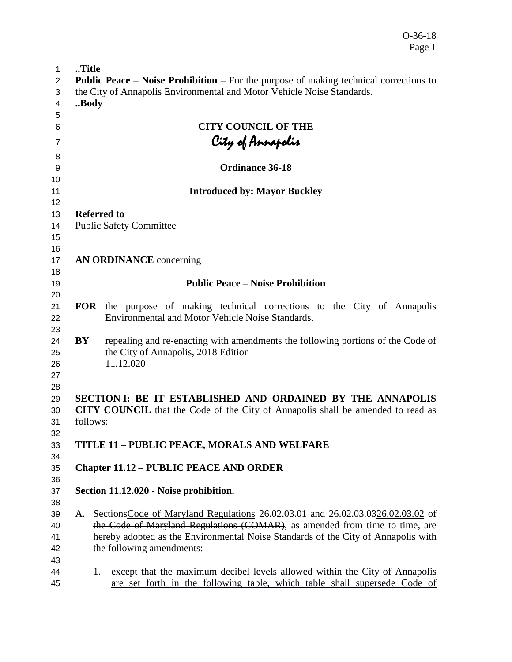O-36-18 Page 1

| 1                          | Title      |                                                                                                                                                      |  |  |
|----------------------------|------------|------------------------------------------------------------------------------------------------------------------------------------------------------|--|--|
| 2                          |            | <b>Public Peace – Noise Prohibition –</b> For the purpose of making technical corrections to                                                         |  |  |
| 3                          |            | the City of Annapolis Environmental and Motor Vehicle Noise Standards.                                                                               |  |  |
| 4                          | Body       |                                                                                                                                                      |  |  |
| 5                          |            |                                                                                                                                                      |  |  |
| 6                          |            | <b>CITY COUNCIL OF THE</b>                                                                                                                           |  |  |
| 7                          |            | City of Annapolis                                                                                                                                    |  |  |
|                            |            |                                                                                                                                                      |  |  |
| 8<br>9                     |            | <b>Ordinance 36-18</b>                                                                                                                               |  |  |
| 10                         |            |                                                                                                                                                      |  |  |
| 11                         |            | <b>Introduced by: Mayor Buckley</b>                                                                                                                  |  |  |
| 12                         |            |                                                                                                                                                      |  |  |
| 13                         |            | <b>Referred to</b>                                                                                                                                   |  |  |
| 14                         |            | <b>Public Safety Committee</b>                                                                                                                       |  |  |
| 15                         |            |                                                                                                                                                      |  |  |
| 16                         |            |                                                                                                                                                      |  |  |
| 17                         |            | <b>AN ORDINANCE</b> concerning                                                                                                                       |  |  |
| 18                         |            |                                                                                                                                                      |  |  |
| 19                         |            | <b>Public Peace – Noise Prohibition</b>                                                                                                              |  |  |
| 20                         |            |                                                                                                                                                      |  |  |
| 21<br>22                   | <b>FOR</b> | the purpose of making technical corrections to the City of Annapolis<br>Environmental and Motor Vehicle Noise Standards.                             |  |  |
| 23<br>24<br>25<br>26<br>27 | BY         | repealing and re-enacting with amendments the following portions of the Code of<br>the City of Annapolis, 2018 Edition<br>11.12.020                  |  |  |
| 28<br>29<br>30<br>31<br>32 | follows:   | SECTION I: BE IT ESTABLISHED AND ORDAINED BY THE ANNAPOLIS<br><b>CITY COUNCIL</b> that the Code of the City of Annapolis shall be amended to read as |  |  |
| 33<br>34                   |            | <b>TITLE 11 - PUBLIC PEACE, MORALS AND WELFARE</b>                                                                                                   |  |  |
| 35<br>36                   |            | <b>Chapter 11.12 - PUBLIC PEACE AND ORDER</b>                                                                                                        |  |  |
| 37<br>38                   |            | Section 11.12.020 - Noise prohibition.                                                                                                               |  |  |
| 39                         | А.         | Sections Code of Maryland Regulations 26.02.03.01 and 26.02.03.0326.02.03.02 of                                                                      |  |  |
| 40                         |            | the Code of Maryland Regulations (COMAR), as amended from time to time, are                                                                          |  |  |
| 41                         |            | hereby adopted as the Environmental Noise Standards of the City of Annapolis with                                                                    |  |  |
| 42                         |            | the following amendments:                                                                                                                            |  |  |
| 43                         |            |                                                                                                                                                      |  |  |
| 44                         |            | 4. except that the maximum decibel levels allowed within the City of Annapolis                                                                       |  |  |
| 45                         |            | are set forth in the following table, which table shall supersede Code of                                                                            |  |  |